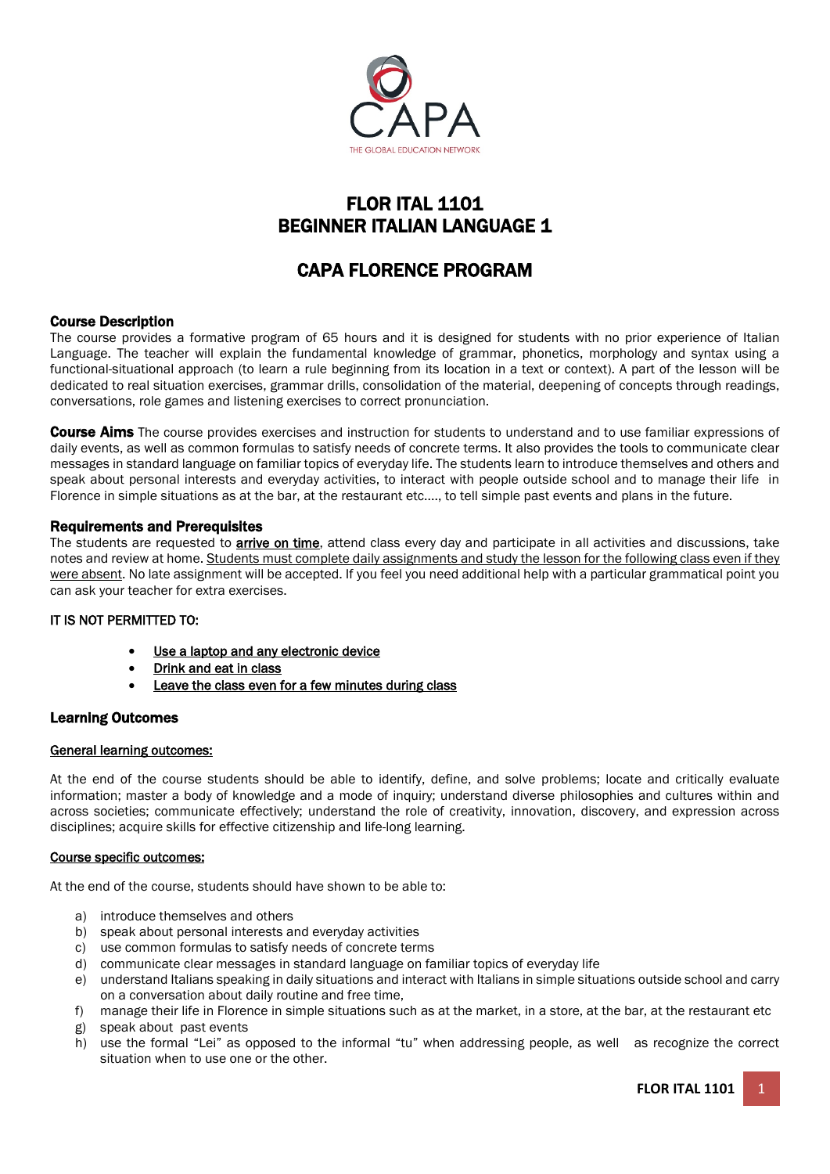

# FLOR ITAL 1101 BEGINNER ITALIAN LANGUAGE 1

# CAPA FLORENCE PROGRAM

# Course Description

The course provides a formative program of 65 hours and it is designed for students with no prior experience of Italian Language. The teacher will explain the fundamental knowledge of grammar, phonetics, morphology and syntax using a functional-situational approach (to learn a rule beginning from its location in a text or context). A part of the lesson will be dedicated to real situation exercises, grammar drills, consolidation of the material, deepening of concepts through readings, conversations, role games and listening exercises to correct pronunciation.

**Course Aims** The course provides exercises and instruction for students to understand and to use familiar expressions of daily events, as well as common formulas to satisfy needs of concrete terms. It also provides the tools to communicate clear messages in standard language on familiar topics of everyday life. The students learn to introduce themselves and others and speak about personal interests and everyday activities, to interact with people outside school and to manage their life in Florence in simple situations as at the bar, at the restaurant etc...., to tell simple past events and plans in the future.

# Requirements and Prerequisites

The students are requested to **arrive on time**, attend class every day and participate in all activities and discussions, take notes and review at home. Students must complete daily assignments and study the lesson for the following class even if they were absent. No late assignment will be accepted. If you feel you need additional help with a particular grammatical point you can ask your teacher for extra exercises.

# IT IS NOT PERMITTED TO:

- Use a laptop and any electronic device
- Drink and eat in class
- Leave the class even for a few minutes during class

# Learning Outcomes

# General learning outcomes:

At the end of the course students should be able to identify, define, and solve problems; locate and critically evaluate information; master a body of knowledge and a mode of inquiry; understand diverse philosophies and cultures within and across societies; communicate effectively; understand the role of creativity, innovation, discovery, and expression across disciplines; acquire skills for effective citizenship and life-long learning.

# Course specific outcomes:

At the end of the course, students should have shown to be able to:

- a) introduce themselves and others
- b) speak about personal interests and everyday activities
- c) use common formulas to satisfy needs of concrete terms
- d) communicate clear messages in standard language on familiar topics of everyday life
- e) understand Italians speaking in daily situations and interact with Italians in simple situations outside school and carry on a conversation about daily routine and free time,
- f) manage their life in Florence in simple situations such as at the market, in a store, at the bar, at the restaurant etc
- g) speak about past events
- h) use the formal "Lei" as opposed to the informal "tu" when addressing people, as well as recognize the correct situation when to use one or the other.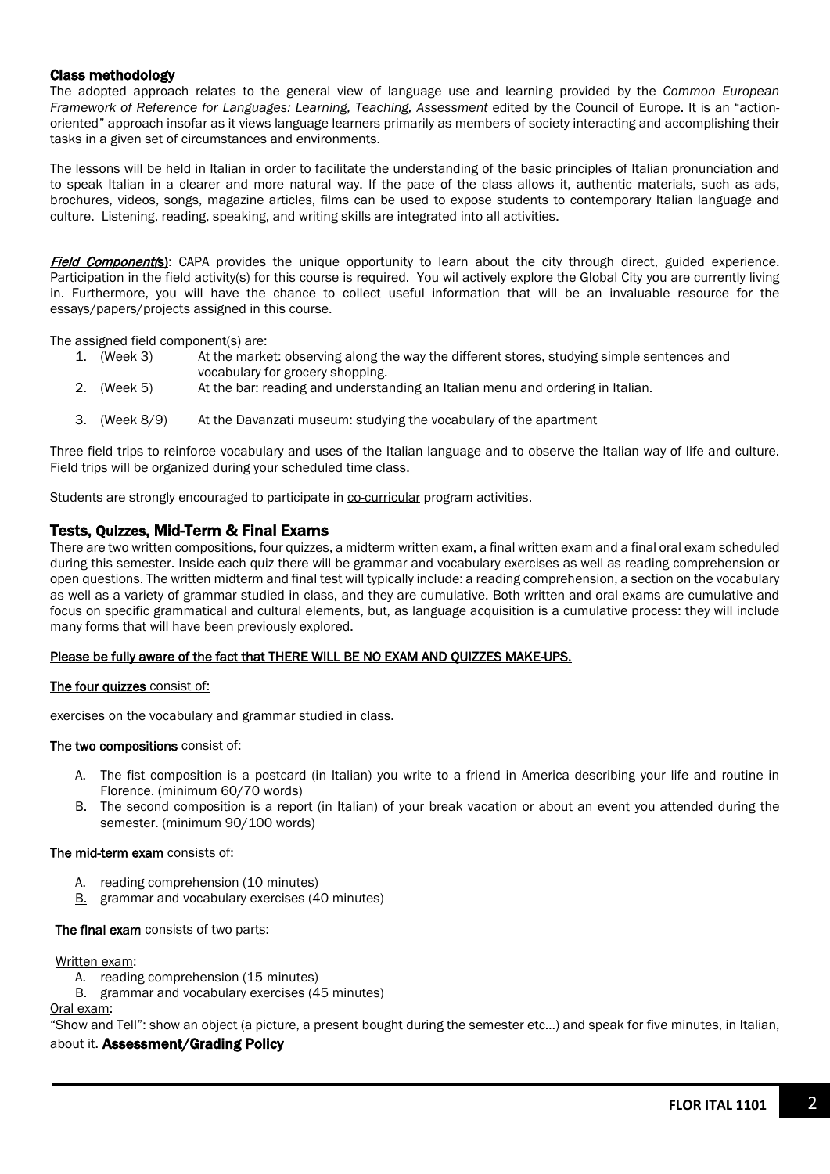# Class methodology

The adopted approach relates to the general view of language use and learning provided by the *Common European Framework of Reference for Languages: Learning, Teaching, Assessment edited by the Council of Europe. It is an "action*oriented" approach insofar as it views language learners primarily as members of society interacting and accomplishing their tasks in a given set of circumstances and environments.

The lessons will be held in Italian in order to facilitate the understanding of the basic principles of Italian pronunciation and to speak Italian in a clearer and more natural way. If the pace of the class allows it, authentic materials, such as ads, brochures, videos, songs, magazine articles, films can be used to expose students to contemporary Italian language and culture. Listening, reading, speaking, and writing skills are integrated into all activities.

Field Component(s): CAPA provides the unique opportunity to learn about the city through direct, guided experience. Participation in the field activity(s) for this course is required. You wil actively explore the Global City you are currently living in. Furthermore, you will have the chance to collect useful information that will be an invaluable resource for the essays/papers/projects assigned in this course.

The assigned field component(s) are:

- 1. (Week 3) At the market: observing along the way the different stores, studying simple sentences and vocabulary for grocery shopping.<br>2. (Week 5) At the bar: reading and understa
- At the bar: reading and understanding an Italian menu and ordering in Italian.
- 3. (Week 8/9) At the Davanzati museum: studying the vocabulary of the apartment

Three field trips to reinforce vocabulary and uses of the Italian language and to observe the Italian way of life and culture. Field trips will be organized during your scheduled time class.

Students are strongly encouraged to participate in co-curricular program activities.

# Tests, Quizzes, Mid-Term & Final Exams

There are two written compositions, four quizzes, a midterm written exam, a final written exam and a final oral exam scheduled during this semester. Inside each quiz there will be grammar and vocabulary exercises as well as reading comprehension or open questions. The written midterm and final test will typically include: a reading comprehension, a section on the vocabulary as well as a variety of grammar studied in class, and they are cumulative. Both written and oral exams are cumulative and focus on specific grammatical and cultural elements, but, as language acquisition is a cumulative process: they will include many forms that will have been previously explored.

# Please be fully aware of the fact that THERE WILL BE NO EXAM AND QUIZZES MAKE-UPS.

### The four quizzes consist of:

exercises on the vocabulary and grammar studied in class.

### The two compositions consist of:

- A. The fist composition is a postcard (in Italian) you write to a friend in America describing your life and routine in Florence. (minimum 60/70 words)
- B. The second composition is a report (in Italian) of your break vacation or about an event you attended during the semester. (minimum 90/100 words)

### The mid-term exam consists of:

- A. reading comprehension (10 minutes)
- B. grammar and vocabulary exercises (40 minutes)

### The final exam consists of two parts:

### Written exam:

- A. reading comprehension (15 minutes)
- B. grammar and vocabulary exercises (45 minutes)

Oral exam:

"Show and Tell": show an object (a picture, a present bought during the semester etc…) and speak for five minutes, in Italian, about it. **Assessment/Grading Policy**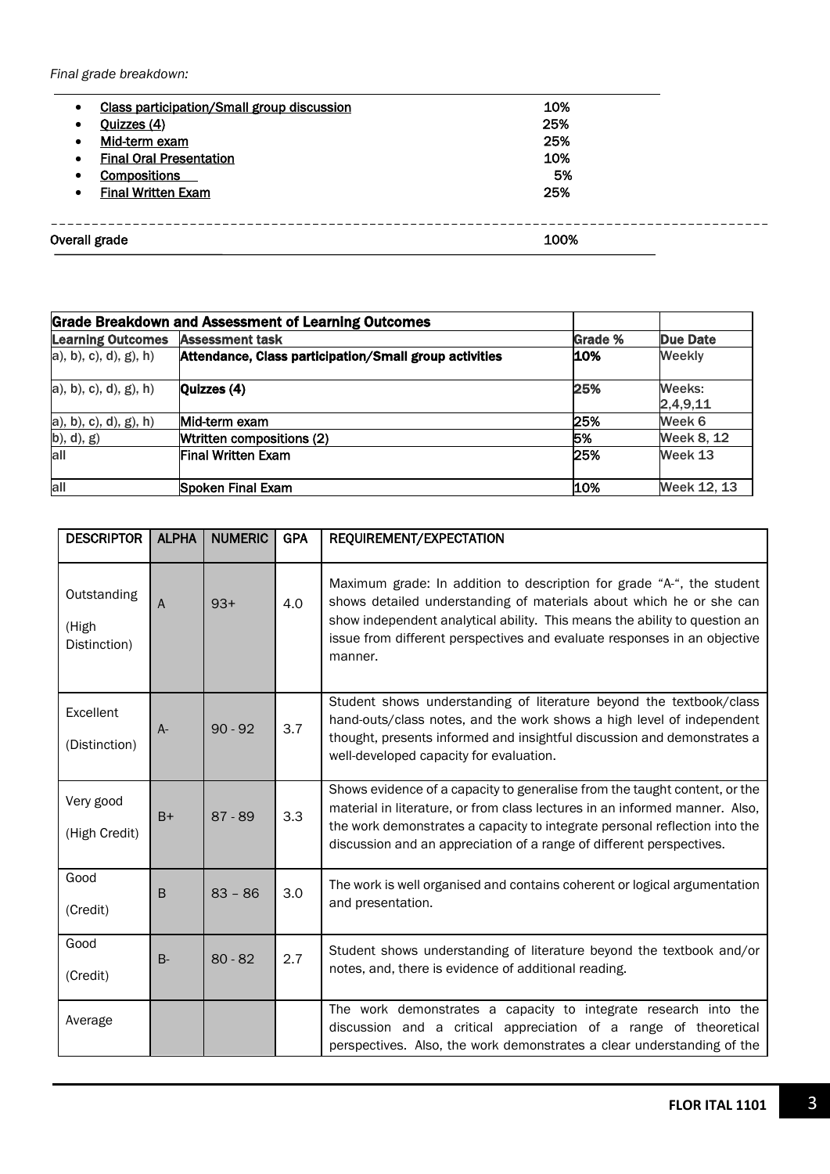*Final grade breakdown:*

| $\bullet$ | <b>Class participation/Small group discussion</b> | 10%  |
|-----------|---------------------------------------------------|------|
| $\bullet$ | Quizzes (4)                                       | 25%  |
| $\bullet$ | Mid-term exam                                     | 25%  |
| $\bullet$ | <b>Final Oral Presentation</b>                    | 10%  |
| $\bullet$ | <b>Compositions</b>                               | 5%   |
| $\bullet$ | <b>Final Written Exam</b>                         | 25%  |
|           |                                                   |      |
|           |                                                   |      |
|           | Overall grade                                     | 100% |

| <b>Grade Breakdown and Assessment of Learning Outcomes</b> |                                                        |                |                    |  |  |
|------------------------------------------------------------|--------------------------------------------------------|----------------|--------------------|--|--|
| <b>Learning Outcomes</b>                                   | <b>Assessment task</b>                                 | <b>Grade %</b> | Due Date           |  |  |
| a), b), c), d), g), h)                                     | Attendance, Class participation/Small group activities | 10%            | <b>Weekly</b>      |  |  |
| a), b), c), d), g), h)                                     | Quizzes (4)                                            | 25%            | Weeks:<br>2,4,9,11 |  |  |
| a), b), c), d), g), h)                                     | Mid-term exam                                          | <b>25%</b>     | Week 6             |  |  |
| b), d), g)                                                 | Wtritten compositions (2)                              | 5%             | Week 8, 12         |  |  |
| all                                                        | lFinal Written Exam                                    | 25%            | Week 13            |  |  |
| all                                                        | Spoken Final Exam                                      | 10%            | Week 12, 13        |  |  |

| <b>DESCRIPTOR</b>                    | <b>ALPHA</b> | <b>NUMERIC</b> | <b>GPA</b> | REQUIREMENT/EXPECTATION                                                                                                                                                                                                                                                                                           |  |
|--------------------------------------|--------------|----------------|------------|-------------------------------------------------------------------------------------------------------------------------------------------------------------------------------------------------------------------------------------------------------------------------------------------------------------------|--|
| Outstanding<br>(High<br>Distinction) | A            | $93+$          | 4.0        | Maximum grade: In addition to description for grade "A-", the student<br>shows detailed understanding of materials about which he or she can<br>show independent analytical ability. This means the ability to question an<br>issue from different perspectives and evaluate responses in an objective<br>manner. |  |
| Excellent<br>(Distinction)           | $A-$         | $90 - 92$      | 3.7        | Student shows understanding of literature beyond the textbook/class<br>hand-outs/class notes, and the work shows a high level of independent<br>thought, presents informed and insightful discussion and demonstrates a<br>well-developed capacity for evaluation.                                                |  |
| Very good<br>(High Credit)           | $B+$         | $87 - 89$      | 3.3        | Shows evidence of a capacity to generalise from the taught content, or the<br>material in literature, or from class lectures in an informed manner. Also,<br>the work demonstrates a capacity to integrate personal reflection into the<br>discussion and an appreciation of a range of different perspectives.   |  |
| Good<br>(Credit)                     | B            | $83 - 86$      | 3.0        | The work is well organised and contains coherent or logical argumentation<br>and presentation.                                                                                                                                                                                                                    |  |
| Good<br>(Credit)                     | $B -$        | $80 - 82$      | 2.7        | Student shows understanding of literature beyond the textbook and/or<br>notes, and, there is evidence of additional reading.                                                                                                                                                                                      |  |
| Average                              |              |                |            | The work demonstrates a capacity to integrate research into the<br>discussion and a critical appreciation of a range of theoretical<br>perspectives. Also, the work demonstrates a clear understanding of the                                                                                                     |  |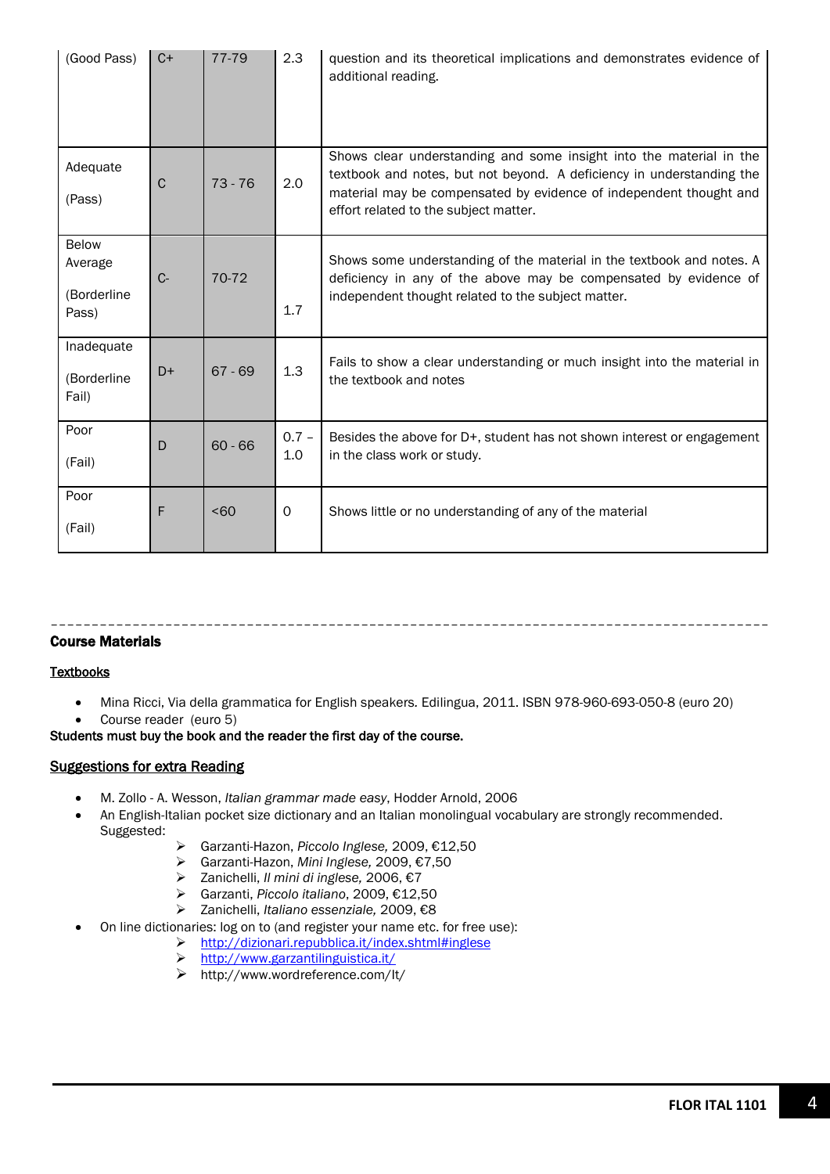| (Good Pass)                                     | $C+$         | 77-79            | 2.3            | question and its theoretical implications and demonstrates evidence of<br>additional reading.                                                                                                                                                               |
|-------------------------------------------------|--------------|------------------|----------------|-------------------------------------------------------------------------------------------------------------------------------------------------------------------------------------------------------------------------------------------------------------|
| Adequate<br>(Pass)                              | $\mathsf{C}$ | $73 - 76$        | 2.0            | Shows clear understanding and some insight into the material in the<br>textbook and notes, but not beyond. A deficiency in understanding the<br>material may be compensated by evidence of independent thought and<br>effort related to the subject matter. |
| <b>Below</b><br>Average<br>(Borderline<br>Pass) | $C -$        | 70-72            | 1.7            | Shows some understanding of the material in the textbook and notes. A<br>deficiency in any of the above may be compensated by evidence of<br>independent thought related to the subject matter.                                                             |
| Inadequate<br>(Borderline<br>Fail)              | $D+$         | $67 - 69$        | 1.3            | Fails to show a clear understanding or much insight into the material in<br>the textbook and notes                                                                                                                                                          |
| Poor<br>(Fail)                                  | D            | $60 - 66$        | $0.7 -$<br>1.0 | Besides the above for D+, student has not shown interest or engagement<br>in the class work or study.                                                                                                                                                       |
| Poor<br>(Fail)                                  | F            | 50 <sub>60</sub> | 0              | Shows little or no understanding of any of the material                                                                                                                                                                                                     |

#### –––––––––––––––––––––––––––––––––––––––––––––––––––––––––––––––––––––––––––––––––––––––– Course Materials

# **Textbooks**

- Mina Ricci, Via della grammatica for English speakers*.* Edilingua, 2011. ISBN 978-960-693-050-8 (euro 20)
- Course reader (euro 5)

Students must buy the book and the reader the first day of the course.

### Suggestions for extra Reading

- M. Zollo A. Wesson, *Italian grammar made easy*, Hodder Arnold, 2006
- An English-Italian pocket size dictionary and an Italian monolingual vocabulary are strongly recommended. Suggested:
	- Garzanti-Hazon, *Piccolo Inglese,* 2009, €12,50
	- Garzanti-Hazon, *Mini Inglese,* 2009, €7,50
	- Zanichelli, *Il mini di inglese,* 2006, €7
	- Garzanti, *Piccolo italiano*, 2009, €12,50
	- Zanichelli, *Italiano essenziale,* 2009, €8
	- On line dictionaries: log on to (and register your name etc. for free use):
		- <http://dizionari.repubblica.it/index.shtml#inglese>
			- <http://www.garzantilinguistica.it/>
			- http://www.wordreference.com/It/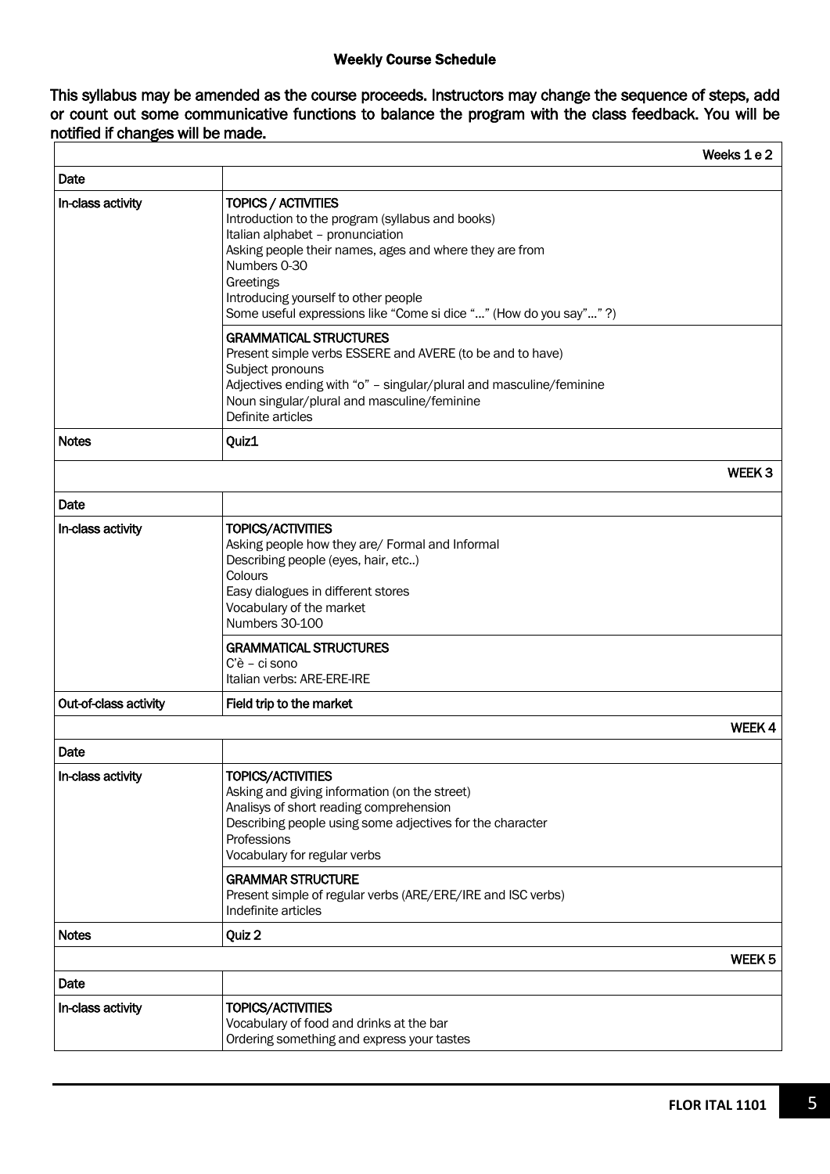# Weekly Course Schedule

This syllabus may be amended as the course proceeds. Instructors may change the sequence of steps, add or count out some communicative functions to balance the program with the class feedback. You will be notified if changes will be made.

|                       |                                                                                                                                                                                                                                                                                                                  | Weeks 1 e 2       |
|-----------------------|------------------------------------------------------------------------------------------------------------------------------------------------------------------------------------------------------------------------------------------------------------------------------------------------------------------|-------------------|
| Date                  |                                                                                                                                                                                                                                                                                                                  |                   |
| In-class activity     | TOPICS / ACTIVITIES<br>Introduction to the program (syllabus and books)<br>Italian alphabet - pronunciation<br>Asking people their names, ages and where they are from<br>Numbers 0-30<br>Greetings<br>Introducing yourself to other people<br>Some useful expressions like "Come si dice "" (How do you say""?) |                   |
|                       | <b>GRAMMATICAL STRUCTURES</b><br>Present simple verbs ESSERE and AVERE (to be and to have)<br>Subject pronouns<br>Adjectives ending with "o" - singular/plural and masculine/feminine<br>Noun singular/plural and masculine/feminine<br>Definite articles                                                        |                   |
| <b>Notes</b>          | Quiz1                                                                                                                                                                                                                                                                                                            |                   |
|                       |                                                                                                                                                                                                                                                                                                                  | WEEK <sub>3</sub> |
| Date                  |                                                                                                                                                                                                                                                                                                                  |                   |
| In-class activity     | <b>TOPICS/ACTIVITIES</b><br>Asking people how they are/ Formal and Informal<br>Describing people (eyes, hair, etc)<br>Colours<br>Easy dialogues in different stores<br>Vocabulary of the market<br>Numbers 30-100                                                                                                |                   |
|                       | <b>GRAMMATICAL STRUCTURES</b><br>C'è - ci sono<br>Italian verbs: ARE-ERE-IRE                                                                                                                                                                                                                                     |                   |
| Out-of-class activity | Field trip to the market                                                                                                                                                                                                                                                                                         |                   |
|                       |                                                                                                                                                                                                                                                                                                                  | WEEK 4            |
| Date                  |                                                                                                                                                                                                                                                                                                                  |                   |
| In-class activity     | TOPICS/ACTIVITIES<br>Asking and giving information (on the street)<br>Analisys of short reading comprehension<br>Describing people using some adjectives for the character<br>Professions<br>Vocabulary for regular verbs                                                                                        |                   |
|                       | <b>GRAMMAR STRUCTURE</b><br>Present simple of regular verbs (ARE/ERE/IRE and ISC verbs)<br>Indefinite articles                                                                                                                                                                                                   |                   |
| <b>Notes</b>          | Quiz 2                                                                                                                                                                                                                                                                                                           |                   |
|                       |                                                                                                                                                                                                                                                                                                                  | WEEK 5            |
| Date                  |                                                                                                                                                                                                                                                                                                                  |                   |
| In-class activity     | <b>TOPICS/ACTIVITIES</b><br>Vocabulary of food and drinks at the bar<br>Ordering something and express your tastes                                                                                                                                                                                               |                   |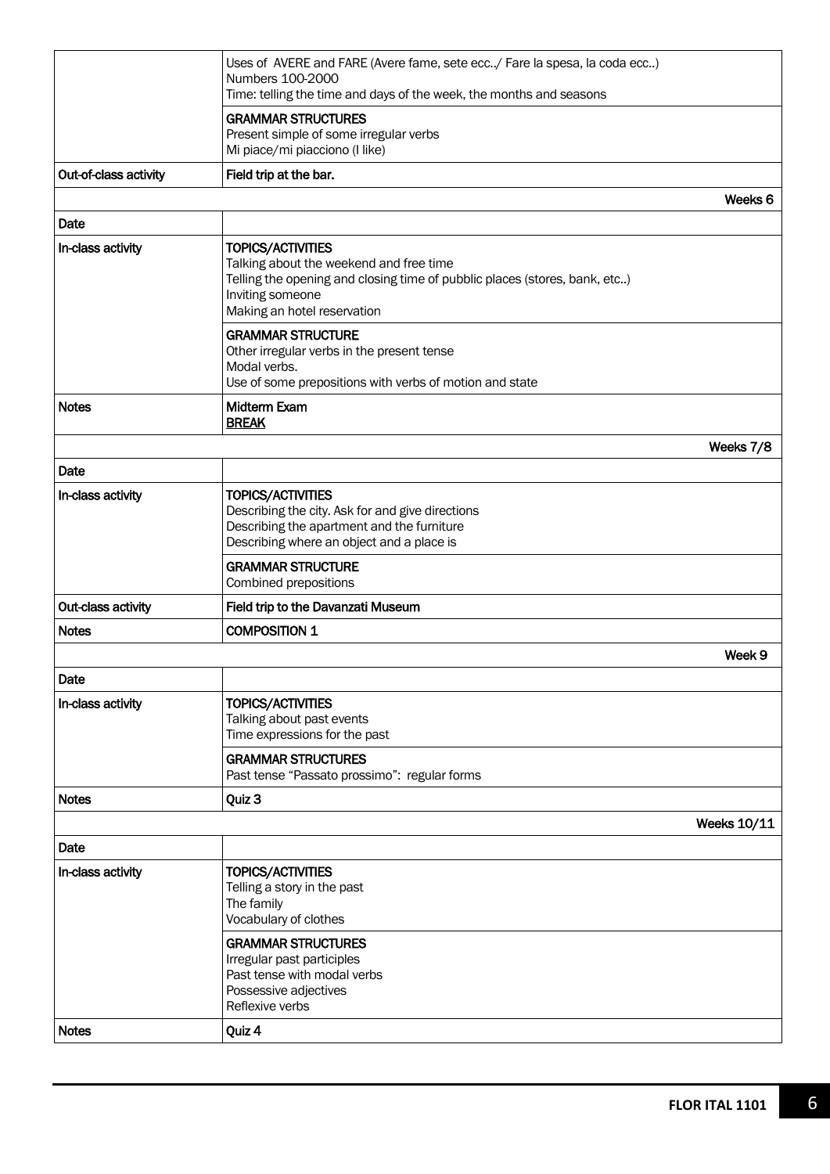|                                                          | Uses of AVERE and FARE (Avere fame, sete ecc/ Fare la spesa, la coda ecc)<br>Numbers 100-2000<br>Time: telling the time and days of the week, the months and seasons                                 |                    |  |  |
|----------------------------------------------------------|------------------------------------------------------------------------------------------------------------------------------------------------------------------------------------------------------|--------------------|--|--|
|                                                          | <b>GRAMMAR STRUCTURES</b><br>Present simple of some irregular verbs<br>Mi piace/mi piacciono (I like)                                                                                                |                    |  |  |
| Out-of-class activity                                    | Field trip at the bar.                                                                                                                                                                               |                    |  |  |
|                                                          |                                                                                                                                                                                                      | Weeks 6            |  |  |
| Date                                                     |                                                                                                                                                                                                      |                    |  |  |
| In-class activity                                        | <b>TOPICS/ACTIVITIES</b><br>Talking about the weekend and free time<br>Telling the opening and closing time of pubblic places (stores, bank, etc)<br>Inviting someone<br>Making an hotel reservation |                    |  |  |
|                                                          | <b>GRAMMAR STRUCTURE</b><br>Other irregular verbs in the present tense<br>Modal verbs.<br>Use of some prepositions with verbs of motion and state                                                    |                    |  |  |
| <b>Notes</b>                                             | <b>Midterm Exam</b><br><b>BREAK</b>                                                                                                                                                                  |                    |  |  |
|                                                          |                                                                                                                                                                                                      | Weeks 7/8          |  |  |
| Date                                                     |                                                                                                                                                                                                      |                    |  |  |
| In-class activity                                        | <b>TOPICS/ACTIVITIES</b><br>Describing the city. Ask for and give directions<br>Describing the apartment and the furniture<br>Describing where an object and a place is                              |                    |  |  |
|                                                          | <b>GRAMMAR STRUCTURE</b><br>Combined prepositions                                                                                                                                                    |                    |  |  |
| Out-class activity<br>Field trip to the Davanzati Museum |                                                                                                                                                                                                      |                    |  |  |
| <b>COMPOSITION 1</b><br><b>Notes</b>                     |                                                                                                                                                                                                      |                    |  |  |
|                                                          |                                                                                                                                                                                                      | Week 9             |  |  |
| Date                                                     |                                                                                                                                                                                                      |                    |  |  |
| In-class activity                                        | <b>TOPICS/ACTIVITIES</b><br>Talking about past events<br>Time expressions for the past                                                                                                               |                    |  |  |
|                                                          | <b>GRAMMAR STRUCTURES</b><br>Past tense "Passato prossimo": regular forms                                                                                                                            |                    |  |  |
| <b>Notes</b>                                             | Quiz 3                                                                                                                                                                                               |                    |  |  |
|                                                          |                                                                                                                                                                                                      | <b>Weeks 10/11</b> |  |  |
| Date                                                     |                                                                                                                                                                                                      |                    |  |  |
| In-class activity                                        | <b>TOPICS/ACTIVITIES</b><br>Telling a story in the past<br>The family<br>Vocabulary of clothes                                                                                                       |                    |  |  |
|                                                          | <b>GRAMMAR STRUCTURES</b><br>Irregular past participles<br>Past tense with modal verbs<br>Possessive adjectives<br>Reflexive verbs                                                                   |                    |  |  |
| <b>Notes</b>                                             | Quiz 4                                                                                                                                                                                               |                    |  |  |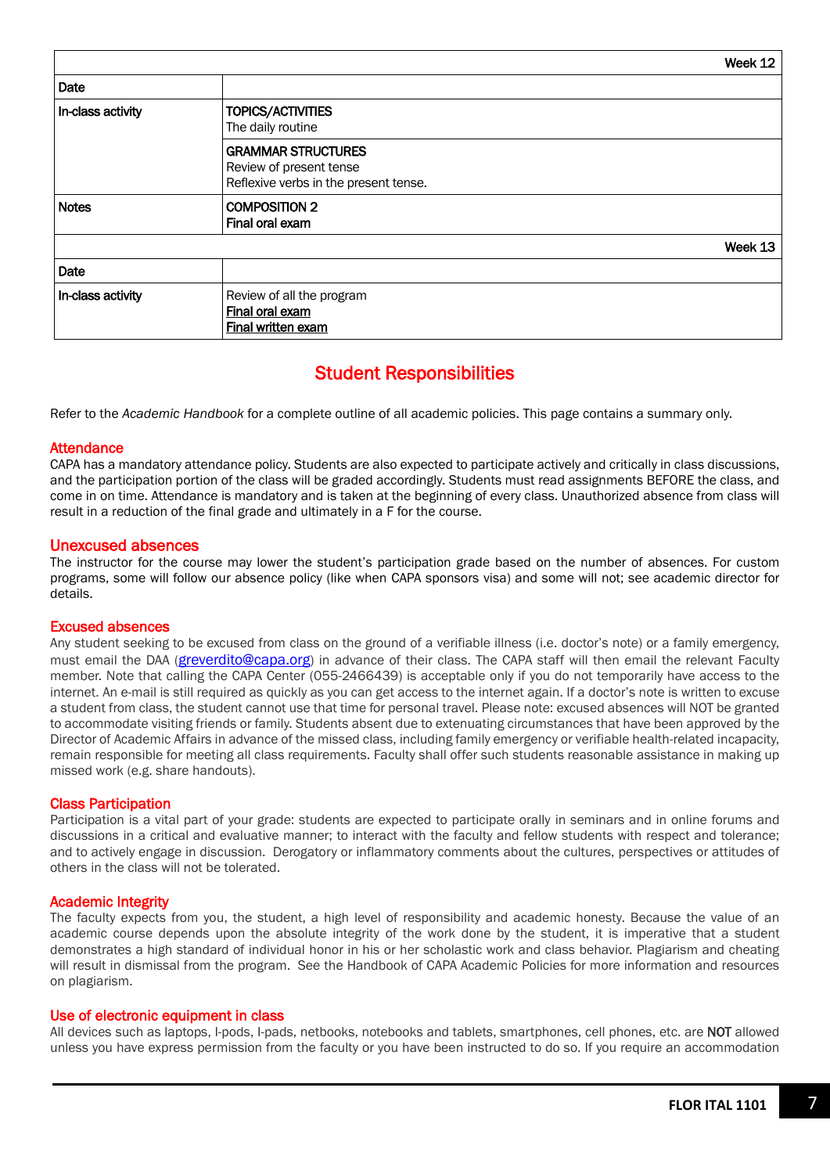|                   |                                                                                               | Week 12 |
|-------------------|-----------------------------------------------------------------------------------------------|---------|
| Date              |                                                                                               |         |
| In-class activity | TOPICS/ACTIVITIES<br>The daily routine                                                        |         |
|                   | <b>GRAMMAR STRUCTURES</b><br>Review of present tense<br>Reflexive verbs in the present tense. |         |
| <b>Notes</b>      | <b>COMPOSITION 2</b><br>Final oral exam                                                       |         |
|                   |                                                                                               | Week 13 |
| Date              |                                                                                               |         |
| In-class activity | Review of all the program<br>Final oral exam<br><b>Final written exam</b>                     |         |

# Student Responsibilities

Refer to the *Academic Handbook* for a complete outline of all academic policies. This page contains a summary only.

### **Attendance**

CAPA has a mandatory attendance policy. Students are also expected to participate actively and critically in class discussions, and the participation portion of the class will be graded accordingly. Students must read assignments BEFORE the class, and come in on time. Attendance is mandatory and is taken at the beginning of every class. Unauthorized absence from class will result in a reduction of the final grade and ultimately in a F for the course.

# Unexcused absences

The instructor for the course may lower the student's participation grade based on the number of absences. For custom programs, some will follow our absence policy (like when CAPA sponsors visa) and some will not; see academic director for details.

### Excused absences

Any student seeking to be excused from class on the ground of a verifiable illness (i.e. doctor's note) or a family emergency, must email the DAA [\(greverdito@capa.org\)](mailto:greverdito@capa.org) in advance of their class. The CAPA staff will then email the relevant Faculty member. Note that calling the CAPA Center (055-2466439) is acceptable only if you do not temporarily have access to the internet. An e-mail is still required as quickly as you can get access to the internet again. If a doctor's note is written to excuse a student from class, the student cannot use that time for personal travel. Please note: excused absences will NOT be granted to accommodate visiting friends or family. Students absent due to extenuating circumstances that have been approved by the Director of Academic Affairs in advance of the missed class, including family emergency or verifiable health-related incapacity, remain responsible for meeting all class requirements. Faculty shall offer such students reasonable assistance in making up missed work (e.g. share handouts).

### Class Participation

Participation is a vital part of your grade: students are expected to participate orally in seminars and in online forums and discussions in a critical and evaluative manner; to interact with the faculty and fellow students with respect and tolerance; and to actively engage in discussion. Derogatory or inflammatory comments about the cultures, perspectives or attitudes of others in the class will not be tolerated.

### Academic Integrity

The faculty expects from you, the student, a high level of responsibility and academic honesty. Because the value of an academic course depends upon the absolute integrity of the work done by the student, it is imperative that a student demonstrates a high standard of individual honor in his or her scholastic work and class behavior. Plagiarism and cheating will result in dismissal from the program. See the Handbook of CAPA Academic Policies for more information and resources on plagiarism.

### Use of electronic equipment in class

All devices such as laptops, I-pods, I-pads, netbooks, notebooks and tablets, smartphones, cell phones, etc. are NOT allowed unless you have express permission from the faculty or you have been instructed to do so. If you require an accommodation